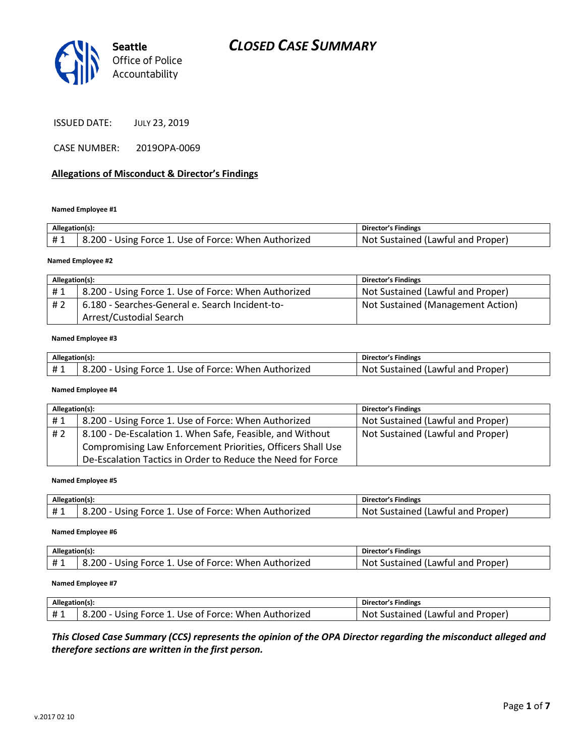

ISSUED DATE: JULY 23, 2019

CASE NUMBER: 2019OPA-0069

### **Allegations of Misconduct & Director's Findings**

**Named Employee #1**

| Allegation(s): |                                                      | Director's Findings               |
|----------------|------------------------------------------------------|-----------------------------------|
| #1             | 8.200 - Using Force 1. Use of Force: When Authorized | Not Sustained (Lawful and Proper) |
|                |                                                      |                                   |

#### **Named Employee #2**

| Allegation(s): |                                                      | Director's Findings               |
|----------------|------------------------------------------------------|-----------------------------------|
| #1             | 8.200 - Using Force 1. Use of Force: When Authorized | Not Sustained (Lawful and Proper) |
| #2             | 6.180 - Searches-General e. Search Incident-to-      | Not Sustained (Management Action) |
|                | Arrest/Custodial Search                              |                                   |

#### **Named Employee #3**

| Allegation(s): |                                                       | Director's Findings                            |
|----------------|-------------------------------------------------------|------------------------------------------------|
| #1             | ،200.<br>Using Force 1. Use of Force: When Authorized | Proper<br>Sustained (Lawful and<br><b>NO</b> t |

#### **Named Employee #4**

| Allegation(s): |                                                             | <b>Director's Findings</b>        |
|----------------|-------------------------------------------------------------|-----------------------------------|
| #1             | 8.200 - Using Force 1. Use of Force: When Authorized        | Not Sustained (Lawful and Proper) |
| #2             | 8.100 - De-Escalation 1. When Safe, Feasible, and Without   | Not Sustained (Lawful and Proper) |
|                | Compromising Law Enforcement Priorities, Officers Shall Use |                                   |
|                | De-Escalation Tactics in Order to Reduce the Need for Force |                                   |

#### **Named Employee #5**

| Allegation(s):   |                                                                        | Director's Findings                               |
|------------------|------------------------------------------------------------------------|---------------------------------------------------|
| - <del>+</del> - | ں۔ 200 - Using $\Gamma$<br>: 1. Use of Force: When Authorized<br>Force | Not<br>. Proper<br>Lawful and<br>tained<br>-SUST* |

#### **Named Employee #6**

| Allegation(s):         |                                                          | <b>Director's Findings</b>                         |
|------------------------|----------------------------------------------------------|----------------------------------------------------|
| H <sub>1</sub><br>** + | 3.200<br>Use of Force: When Authorized<br>Force<br>Using | . Proper'<br>. Sustained (Lawful 1<br>I and<br>Not |

#### **Named Employee #7**

| Allegation(s): |                                                      | Director's Findings               |
|----------------|------------------------------------------------------|-----------------------------------|
|                | 8.200 - Using Force 1. Use of Force: When Authorized | Not Sustained (Lawful and Proper) |

## *This Closed Case Summary (CCS) represents the opinion of the OPA Director regarding the misconduct alleged and therefore sections are written in the first person.*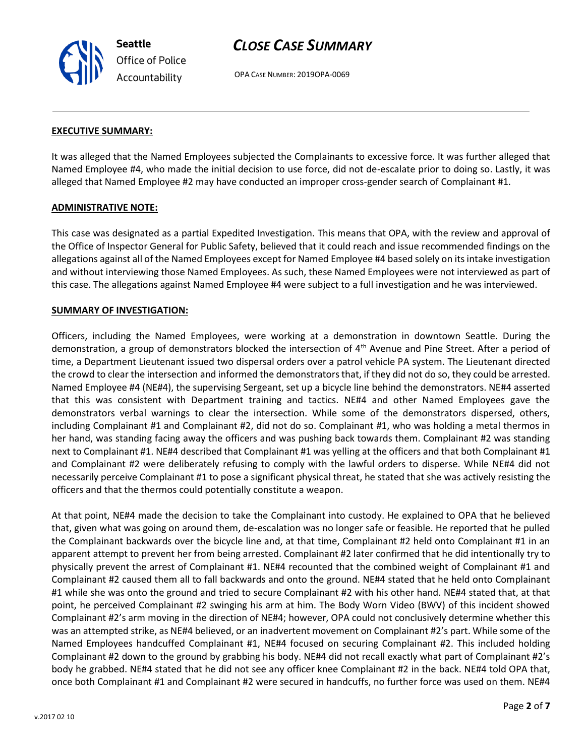**Seattle** *Office of Police Accountability*

# *CLOSE CASE SUMMARY*

OPA CASE NUMBER: 2019OPA-0069

### **EXECUTIVE SUMMARY:**

It was alleged that the Named Employees subjected the Complainants to excessive force. It was further alleged that Named Employee #4, who made the initial decision to use force, did not de-escalate prior to doing so. Lastly, it was alleged that Named Employee #2 may have conducted an improper cross-gender search of Complainant #1.

### **ADMINISTRATIVE NOTE:**

This case was designated as a partial Expedited Investigation. This means that OPA, with the review and approval of the Office of Inspector General for Public Safety, believed that it could reach and issue recommended findings on the allegations against all of the Named Employees except for Named Employee #4 based solely on its intake investigation and without interviewing those Named Employees. As such, these Named Employees were not interviewed as part of this case. The allegations against Named Employee #4 were subject to a full investigation and he was interviewed.

## **SUMMARY OF INVESTIGATION:**

Officers, including the Named Employees, were working at a demonstration in downtown Seattle. During the demonstration, a group of demonstrators blocked the intersection of  $4<sup>th</sup>$  Avenue and Pine Street. After a period of time, a Department Lieutenant issued two dispersal orders over a patrol vehicle PA system. The Lieutenant directed the crowd to clear the intersection and informed the demonstrators that, if they did not do so, they could be arrested. Named Employee #4 (NE#4), the supervising Sergeant, set up a bicycle line behind the demonstrators. NE#4 asserted that this was consistent with Department training and tactics. NE#4 and other Named Employees gave the demonstrators verbal warnings to clear the intersection. While some of the demonstrators dispersed, others, including Complainant #1 and Complainant #2, did not do so. Complainant #1, who was holding a metal thermos in her hand, was standing facing away the officers and was pushing back towards them. Complainant #2 was standing next to Complainant #1. NE#4 described that Complainant #1 was yelling at the officers and that both Complainant #1 and Complainant #2 were deliberately refusing to comply with the lawful orders to disperse. While NE#4 did not necessarily perceive Complainant #1 to pose a significant physical threat, he stated that she was actively resisting the officers and that the thermos could potentially constitute a weapon.

At that point, NE#4 made the decision to take the Complainant into custody. He explained to OPA that he believed that, given what was going on around them, de-escalation was no longer safe or feasible. He reported that he pulled the Complainant backwards over the bicycle line and, at that time, Complainant #2 held onto Complainant #1 in an apparent attempt to prevent her from being arrested. Complainant #2 later confirmed that he did intentionally try to physically prevent the arrest of Complainant #1. NE#4 recounted that the combined weight of Complainant #1 and Complainant #2 caused them all to fall backwards and onto the ground. NE#4 stated that he held onto Complainant #1 while she was onto the ground and tried to secure Complainant #2 with his other hand. NE#4 stated that, at that point, he perceived Complainant #2 swinging his arm at him. The Body Worn Video (BWV) of this incident showed Complainant #2's arm moving in the direction of NE#4; however, OPA could not conclusively determine whether this was an attempted strike, as NE#4 believed, or an inadvertent movement on Complainant #2's part. While some of the Named Employees handcuffed Complainant #1, NE#4 focused on securing Complainant #2. This included holding Complainant #2 down to the ground by grabbing his body. NE#4 did not recall exactly what part of Complainant #2's body he grabbed. NE#4 stated that he did not see any officer knee Complainant #2 in the back. NE#4 told OPA that, once both Complainant #1 and Complainant #2 were secured in handcuffs, no further force was used on them. NE#4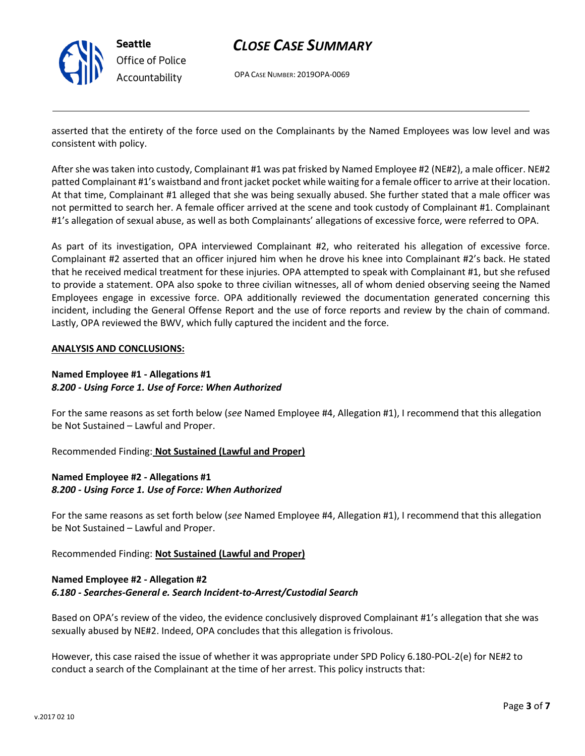

# *CLOSE CASE SUMMARY*

OPA CASE NUMBER: 2019OPA-0069

asserted that the entirety of the force used on the Complainants by the Named Employees was low level and was consistent with policy.

After she was taken into custody, Complainant #1 was pat frisked by Named Employee #2 (NE#2), a male officer. NE#2 patted Complainant #1's waistband and front jacket pocket while waiting for a female officer to arrive at their location. At that time, Complainant #1 alleged that she was being sexually abused. She further stated that a male officer was not permitted to search her. A female officer arrived at the scene and took custody of Complainant #1. Complainant #1's allegation of sexual abuse, as well as both Complainants' allegations of excessive force, were referred to OPA.

As part of its investigation, OPA interviewed Complainant #2, who reiterated his allegation of excessive force. Complainant #2 asserted that an officer injured him when he drove his knee into Complainant #2's back. He stated that he received medical treatment for these injuries. OPA attempted to speak with Complainant #1, but she refused to provide a statement. OPA also spoke to three civilian witnesses, all of whom denied observing seeing the Named Employees engage in excessive force. OPA additionally reviewed the documentation generated concerning this incident, including the General Offense Report and the use of force reports and review by the chain of command. Lastly, OPA reviewed the BWV, which fully captured the incident and the force.

### **ANALYSIS AND CONCLUSIONS:**

## **Named Employee #1 - Allegations #1** *8.200 - Using Force 1. Use of Force: When Authorized*

For the same reasons as set forth below (*see* Named Employee #4, Allegation #1), I recommend that this allegation be Not Sustained – Lawful and Proper.

Recommended Finding: **Not Sustained (Lawful and Proper)**

# **Named Employee #2 - Allegations #1** *8.200 - Using Force 1. Use of Force: When Authorized*

For the same reasons as set forth below (*see* Named Employee #4, Allegation #1), I recommend that this allegation be Not Sustained – Lawful and Proper.

Recommended Finding: **Not Sustained (Lawful and Proper)**

# **Named Employee #2 - Allegation #2** *6.180 - Searches-General e. Search Incident-to-Arrest/Custodial Search*

Based on OPA's review of the video, the evidence conclusively disproved Complainant #1's allegation that she was sexually abused by NE#2. Indeed, OPA concludes that this allegation is frivolous.

However, this case raised the issue of whether it was appropriate under SPD Policy 6.180-POL-2(e) for NE#2 to conduct a search of the Complainant at the time of her arrest. This policy instructs that: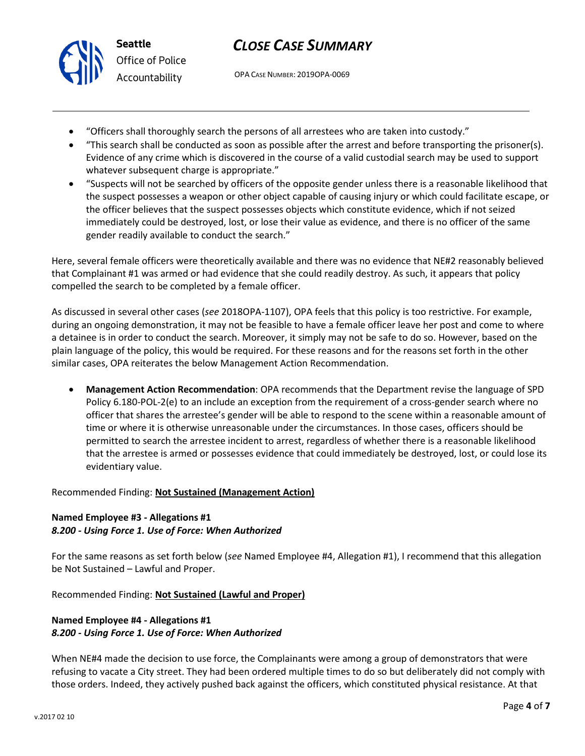



*Office of Police Accountability*

OPA CASE NUMBER: 2019OPA-0069

- "Officers shall thoroughly search the persons of all arrestees who are taken into custody."
- "This search shall be conducted as soon as possible after the arrest and before transporting the prisoner(s). Evidence of any crime which is discovered in the course of a valid custodial search may be used to support whatever subsequent charge is appropriate."
- "Suspects will not be searched by officers of the opposite gender unless there is a reasonable likelihood that the suspect possesses a weapon or other object capable of causing injury or which could facilitate escape, or the officer believes that the suspect possesses objects which constitute evidence, which if not seized immediately could be destroyed, lost, or lose their value as evidence, and there is no officer of the same gender readily available to conduct the search."

Here, several female officers were theoretically available and there was no evidence that NE#2 reasonably believed that Complainant #1 was armed or had evidence that she could readily destroy. As such, it appears that policy compelled the search to be completed by a female officer.

As discussed in several other cases (*see* 2018OPA-1107), OPA feels that this policy is too restrictive. For example, during an ongoing demonstration, it may not be feasible to have a female officer leave her post and come to where a detainee is in order to conduct the search. Moreover, it simply may not be safe to do so. However, based on the plain language of the policy, this would be required. For these reasons and for the reasons set forth in the other similar cases, OPA reiterates the below Management Action Recommendation.

• **Management Action Recommendation**: OPA recommends that the Department revise the language of SPD Policy 6.180-POL-2(e) to an include an exception from the requirement of a cross-gender search where no officer that shares the arrestee's gender will be able to respond to the scene within a reasonable amount of time or where it is otherwise unreasonable under the circumstances. In those cases, officers should be permitted to search the arrestee incident to arrest, regardless of whether there is a reasonable likelihood that the arrestee is armed or possesses evidence that could immediately be destroyed, lost, or could lose its evidentiary value.

# Recommended Finding: **Not Sustained (Management Action)**

# **Named Employee #3 - Allegations #1** *8.200 - Using Force 1. Use of Force: When Authorized*

For the same reasons as set forth below (*see* Named Employee #4, Allegation #1), I recommend that this allegation be Not Sustained – Lawful and Proper.

Recommended Finding: **Not Sustained (Lawful and Proper)**

# **Named Employee #4 - Allegations #1** *8.200 - Using Force 1. Use of Force: When Authorized*

When NE#4 made the decision to use force, the Complainants were among a group of demonstrators that were refusing to vacate a City street. They had been ordered multiple times to do so but deliberately did not comply with those orders. Indeed, they actively pushed back against the officers, which constituted physical resistance. At that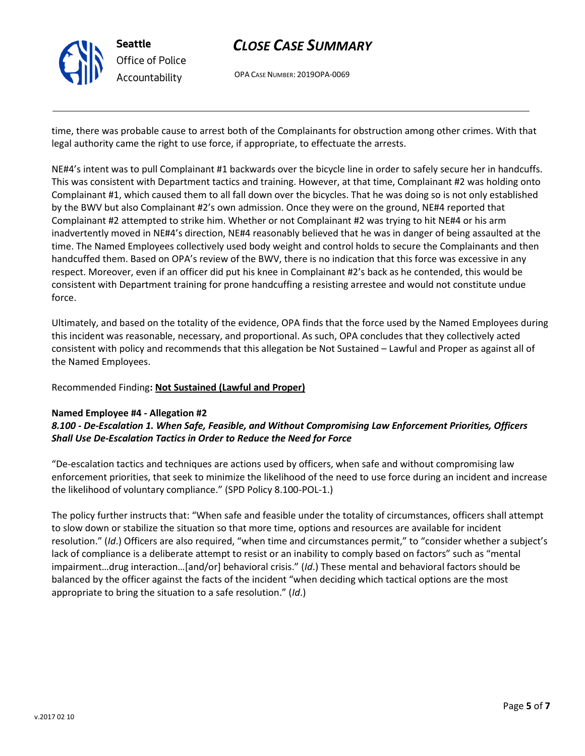

# *CLOSE CASE SUMMARY*

OPA CASE NUMBER: 2019OPA-0069

time, there was probable cause to arrest both of the Complainants for obstruction among other crimes. With that legal authority came the right to use force, if appropriate, to effectuate the arrests.

NE#4's intent was to pull Complainant #1 backwards over the bicycle line in order to safely secure her in handcuffs. This was consistent with Department tactics and training. However, at that time, Complainant #2 was holding onto Complainant #1, which caused them to all fall down over the bicycles. That he was doing so is not only established by the BWV but also Complainant #2's own admission. Once they were on the ground, NE#4 reported that Complainant #2 attempted to strike him. Whether or not Complainant #2 was trying to hit NE#4 or his arm inadvertently moved in NE#4's direction, NE#4 reasonably believed that he was in danger of being assaulted at the time. The Named Employees collectively used body weight and control holds to secure the Complainants and then handcuffed them. Based on OPA's review of the BWV, there is no indication that this force was excessive in any respect. Moreover, even if an officer did put his knee in Complainant #2's back as he contended, this would be consistent with Department training for prone handcuffing a resisting arrestee and would not constitute undue force.

Ultimately, and based on the totality of the evidence, OPA finds that the force used by the Named Employees during this incident was reasonable, necessary, and proportional. As such, OPA concludes that they collectively acted consistent with policy and recommends that this allegation be Not Sustained – Lawful and Proper as against all of the Named Employees.

Recommended Finding**: Not Sustained (Lawful and Proper)**

## **Named Employee #4 - Allegation #2**

# *8.100 - De-Escalation 1. When Safe, Feasible, and Without Compromising Law Enforcement Priorities, Officers Shall Use De-Escalation Tactics in Order to Reduce the Need for Force*

"De-escalation tactics and techniques are actions used by officers, when safe and without compromising law enforcement priorities, that seek to minimize the likelihood of the need to use force during an incident and increase the likelihood of voluntary compliance." (SPD Policy 8.100-POL-1.)

The policy further instructs that: "When safe and feasible under the totality of circumstances, officers shall attempt to slow down or stabilize the situation so that more time, options and resources are available for incident resolution." (*Id*.) Officers are also required, "when time and circumstances permit," to "consider whether a subject's lack of compliance is a deliberate attempt to resist or an inability to comply based on factors" such as "mental impairment…drug interaction…[and/or] behavioral crisis." (*Id*.) These mental and behavioral factors should be balanced by the officer against the facts of the incident "when deciding which tactical options are the most appropriate to bring the situation to a safe resolution." (*Id*.)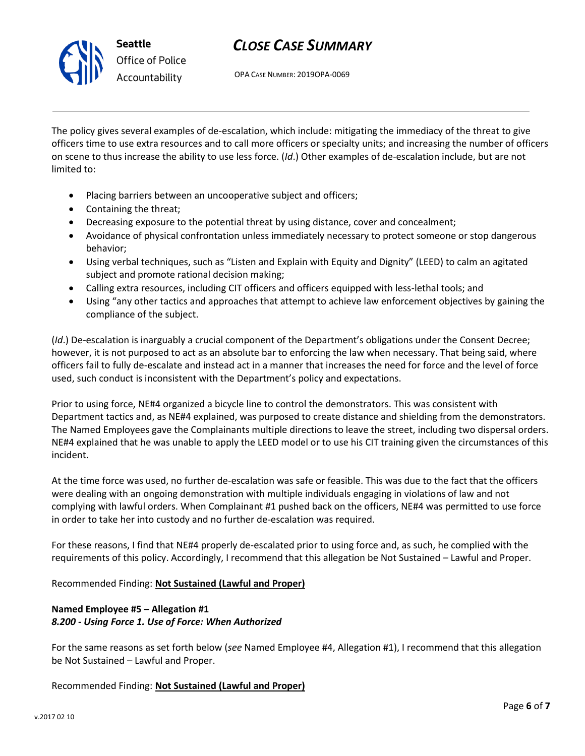

# *CLOSE CASE SUMMARY*

OPA CASE NUMBER: 2019OPA-0069

The policy gives several examples of de-escalation, which include: mitigating the immediacy of the threat to give officers time to use extra resources and to call more officers or specialty units; and increasing the number of officers on scene to thus increase the ability to use less force. (*Id*.) Other examples of de-escalation include, but are not limited to:

- Placing barriers between an uncooperative subject and officers;
- Containing the threat;
- Decreasing exposure to the potential threat by using distance, cover and concealment;
- Avoidance of physical confrontation unless immediately necessary to protect someone or stop dangerous behavior;
- Using verbal techniques, such as "Listen and Explain with Equity and Dignity" (LEED) to calm an agitated subject and promote rational decision making;
- Calling extra resources, including CIT officers and officers equipped with less-lethal tools; and
- Using "any other tactics and approaches that attempt to achieve law enforcement objectives by gaining the compliance of the subject.

(*Id*.) De-escalation is inarguably a crucial component of the Department's obligations under the Consent Decree; however, it is not purposed to act as an absolute bar to enforcing the law when necessary. That being said, where officers fail to fully de-escalate and instead act in a manner that increases the need for force and the level of force used, such conduct is inconsistent with the Department's policy and expectations.

Prior to using force, NE#4 organized a bicycle line to control the demonstrators. This was consistent with Department tactics and, as NE#4 explained, was purposed to create distance and shielding from the demonstrators. The Named Employees gave the Complainants multiple directions to leave the street, including two dispersal orders. NE#4 explained that he was unable to apply the LEED model or to use his CIT training given the circumstances of this incident.

At the time force was used, no further de-escalation was safe or feasible. This was due to the fact that the officers were dealing with an ongoing demonstration with multiple individuals engaging in violations of law and not complying with lawful orders. When Complainant #1 pushed back on the officers, NE#4 was permitted to use force in order to take her into custody and no further de-escalation was required.

For these reasons, I find that NE#4 properly de-escalated prior to using force and, as such, he complied with the requirements of this policy. Accordingly, I recommend that this allegation be Not Sustained – Lawful and Proper.

Recommended Finding: **Not Sustained (Lawful and Proper)**

# **Named Employee #5 – Allegation #1** *8.200 - Using Force 1. Use of Force: When Authorized*

For the same reasons as set forth below (*see* Named Employee #4, Allegation #1), I recommend that this allegation be Not Sustained – Lawful and Proper.

Recommended Finding: **Not Sustained (Lawful and Proper)**